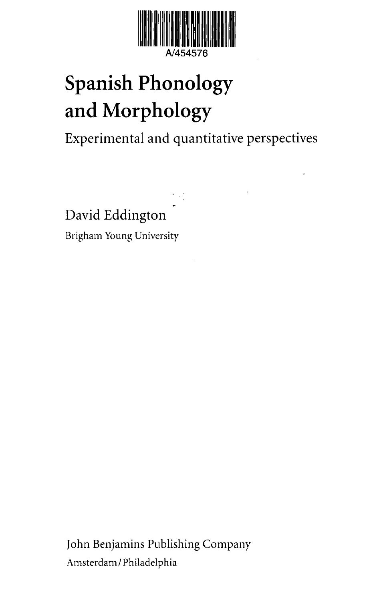

## Spanish Phonology and Morphology

Experimental and quantitative perspectives

David Eddington Brigham Young University

John Benjamins Publishing Company Amsterdam / Philadelphia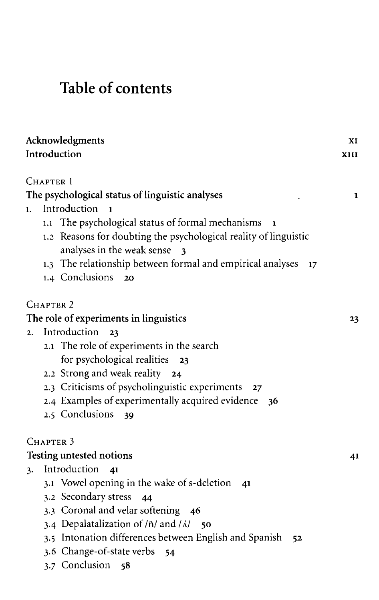## Table of contents

| Acknowledgments                                              |                                                                                                                                                                                           | XI   |
|--------------------------------------------------------------|-------------------------------------------------------------------------------------------------------------------------------------------------------------------------------------------|------|
|                                                              | Introduction                                                                                                                                                                              | XIII |
| CHAPTER 1<br>The psychological status of linguistic analyses |                                                                                                                                                                                           |      |
| $\mathbf{1}$ .                                               | Introduction<br>1                                                                                                                                                                         | 1    |
|                                                              | The psychological status of formal mechanisms<br>1.1<br>1<br>Reasons for doubting the psychological reality of linguistic<br>1,2<br>analyses in the weak sense<br>$\overline{\mathbf{3}}$ |      |
|                                                              | 1.3 The relationship between formal and empirical analyses<br>17                                                                                                                          |      |
|                                                              | 1.4 Conclusions<br>20                                                                                                                                                                     |      |
|                                                              | CHAPTER 2                                                                                                                                                                                 |      |
|                                                              | The role of experiments in linguistics                                                                                                                                                    | 23   |
| 2.                                                           | Introduction<br>23                                                                                                                                                                        |      |
|                                                              | 2.1 The role of experiments in the search                                                                                                                                                 |      |
|                                                              | for psychological realities<br>23                                                                                                                                                         |      |
|                                                              | 2.2 Strong and weak reality 24                                                                                                                                                            |      |
|                                                              | 2.3 Criticisms of psycholinguistic experiments<br>27                                                                                                                                      |      |
|                                                              | 2.4 Examples of experimentally acquired evidence<br>36                                                                                                                                    |      |
|                                                              | 2.5 Conclusions<br>39                                                                                                                                                                     |      |
|                                                              | CHAPTER <sub>3</sub>                                                                                                                                                                      |      |
|                                                              | <b>Testing untested notions</b>                                                                                                                                                           | 41   |
| 3.                                                           | Introduction<br>41                                                                                                                                                                        |      |
|                                                              | 3.1 Vowel opening in the wake of s-deletion<br>41                                                                                                                                         |      |
|                                                              | 3.2 Secondary stress<br>44                                                                                                                                                                |      |
|                                                              | 3.3 Coronal and velar softening 46                                                                                                                                                        |      |
|                                                              | 3.4 Depalatalization of $/\tilde{n}/$ and $/\lambda/$ 50                                                                                                                                  |      |
|                                                              | 3.5 Intonation differences between English and Spanish<br>52                                                                                                                              |      |
|                                                              | 3.6 Change-of-state verbs<br>54                                                                                                                                                           |      |
|                                                              | 3.7 Conclusion<br>58                                                                                                                                                                      |      |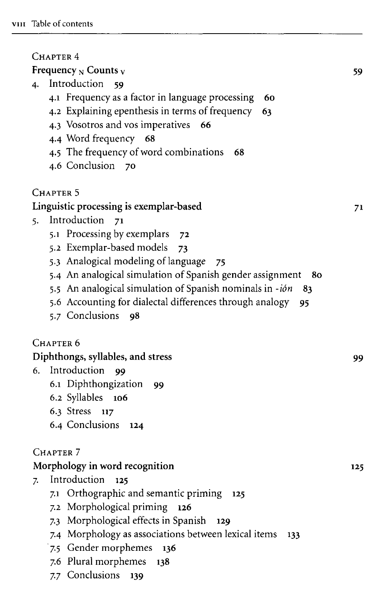| CHAPTER 4                                                       |     |  |  |
|-----------------------------------------------------------------|-----|--|--|
| Frequency $_N$ Counts $_V$<br>59                                |     |  |  |
| Introduction<br>4.<br>59                                        |     |  |  |
| 4.1 Frequency as a factor in language processing<br>60          |     |  |  |
| 4.2 Explaining epenthesis in terms of frequency<br>63           |     |  |  |
| 4.3 Vosotros and vos imperatives<br>66                          |     |  |  |
| 4.4 Word frequency 68                                           |     |  |  |
| 4.5 The frequency of word combinations<br>68                    |     |  |  |
| 4.6 Conclusion<br>70                                            |     |  |  |
| CHAPTER 5                                                       |     |  |  |
|                                                                 |     |  |  |
| Linguistic processing is exemplar-based<br>Introduction         | 71  |  |  |
| 71<br>5.                                                        |     |  |  |
| 5.1 Processing by exemplars<br>72                               |     |  |  |
| 5.2 Exemplar-based models<br>73                                 |     |  |  |
| 5.3 Analogical modeling of language<br>75                       |     |  |  |
| 5.4 An analogical simulation of Spanish gender assignment<br>80 |     |  |  |
| 5.5 An analogical simulation of Spanish nominals in -ión<br>83  |     |  |  |
| 5.6 Accounting for dialectal differences through analogy<br>95  |     |  |  |
| 5.7 Conclusions<br>98                                           |     |  |  |
| Chapter 6                                                       |     |  |  |
| Diphthongs, syllables, and stress<br>99                         |     |  |  |
| Introduction<br>6.<br>99                                        |     |  |  |
| 6.1 Diphthongization<br>- 99                                    |     |  |  |
| 6.2 Syllables<br>106                                            |     |  |  |
| 6.3 Stress<br>117                                               |     |  |  |
| 6.4 Conclusions<br>124                                          |     |  |  |
|                                                                 |     |  |  |
| CHAPTER <sub>7</sub>                                            |     |  |  |
| Morphology in word recognition                                  | 125 |  |  |
| Introduction<br>- 125<br>7.                                     |     |  |  |
| Orthographic and semantic priming<br>7.1<br>125                 |     |  |  |
| 7.2 Morphological priming<br>126                                |     |  |  |
| 7.3 Morphological effects in Spanish<br>129                     |     |  |  |
| 7.4 Morphology as associations between lexical items<br>133     |     |  |  |
| 7.5 Gender morphemes<br>136                                     |     |  |  |
| 7.6 Plural morphemes<br>138                                     |     |  |  |
| 7.7 Conclusions<br>139                                          |     |  |  |